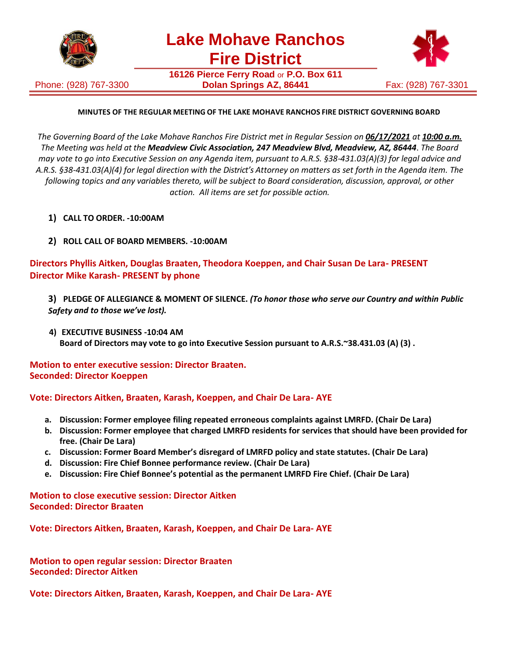

Phone: (928) 767-3300

**Lake Mohave Ranchos Fire District**

**16126 Pierce Ferry Road** or **P.O. Box 611 Dolan Springs AZ, 86441** Fax: (928) 767-3301



# **MINUTES OF THE REGULAR MEETING OF THE LAKE MOHAVE RANCHOS FIRE DISTRICT GOVERNING BOARD**

*The Governing Board of the Lake Mohave Ranchos Fire District met in Regular Session on 06/17/2021 at 10:00 a.m. The Meeting was held at the Meadview Civic Association, 247 Meadview Blvd, Meadview, AZ, 86444*. *The Board may vote to go into Executive Session on any Agenda item, pursuant to A.R.S. §38-431.03(A)(3) for legal advice and A.R.S. §38-431.03(A)(4) for legal direction with the District's Attorney on matters as set forth in the Agenda item. The following topics and any variables thereto, will be subject to Board consideration, discussion, approval, or other action. All items are set for possible action.*

- **1) CALL TO ORDER. -10:00AM**
- **2) ROLL CALL OF BOARD MEMBERS. -10:00AM**

**Directors Phyllis Aitken, Douglas Braaten, Theodora Koeppen, and Chair Susan De Lara- PRESENT Director Mike Karash- PRESENT by phone**

- **3) PLEDGE OF ALLEGIANCE & MOMENT OF SILENCE.** *(To honor those who serve our Country and within Public Safety and to those we've lost).*
- **4) EXECUTIVE BUSINESS -10:04 AM Board of Directors may vote to go into Executive Session pursuant to A.R.S.~38.431.03 (A) (3) .**

# **Motion to enter executive session: Director Braaten. Seconded: Director Koeppen**

#### **Vote: Directors Aitken, Braaten, Karash, Koeppen, and Chair De Lara- AYE**

- **a. Discussion: Former employee filing repeated erroneous complaints against LMRFD. (Chair De Lara)**
- **b. Discussion: Former employee that charged LMRFD residents for services that should have been provided for free. (Chair De Lara)**
- **c. Discussion: Former Board Member's disregard of LMRFD policy and state statutes. (Chair De Lara)**
- **d. Discussion: Fire Chief Bonnee performance review. (Chair De Lara)**
- **e. Discussion: Fire Chief Bonnee's potential as the permanent LMRFD Fire Chief. (Chair De Lara)**

**Motion to close executive session: Director Aitken Seconded: Director Braaten**

**Vote: Directors Aitken, Braaten, Karash, Koeppen, and Chair De Lara- AYE**

**Motion to open regular session: Director Braaten Seconded: Director Aitken**

**Vote: Directors Aitken, Braaten, Karash, Koeppen, and Chair De Lara- AYE**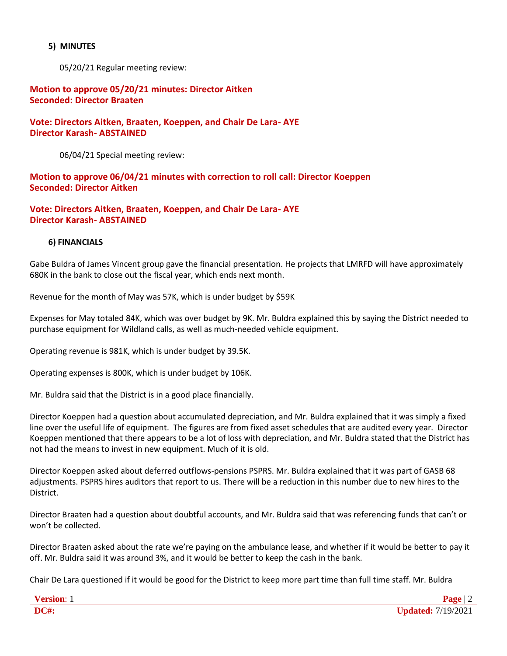#### **5) MINUTES**

05/20/21 Regular meeting review:

### **Motion to approve 05/20/21 minutes: Director Aitken Seconded: Director Braaten**

**Vote: Directors Aitken, Braaten, Koeppen, and Chair De Lara- AYE Director Karash- ABSTAINED**

06/04/21 Special meeting review:

**Motion to approve 06/04/21 minutes with correction to roll call: Director Koeppen Seconded: Director Aitken**

**Vote: Directors Aitken, Braaten, Koeppen, and Chair De Lara- AYE Director Karash- ABSTAINED**

#### **6) FINANCIALS**

Gabe Buldra of James Vincent group gave the financial presentation. He projects that LMRFD will have approximately 680K in the bank to close out the fiscal year, which ends next month.

Revenue for the month of May was 57K, which is under budget by \$59K

Expenses for May totaled 84K, which was over budget by 9K. Mr. Buldra explained this by saying the District needed to purchase equipment for Wildland calls, as well as much-needed vehicle equipment.

Operating revenue is 981K, which is under budget by 39.5K.

Operating expenses is 800K, which is under budget by 106K.

Mr. Buldra said that the District is in a good place financially.

Director Koeppen had a question about accumulated depreciation, and Mr. Buldra explained that it was simply a fixed line over the useful life of equipment. The figures are from fixed asset schedules that are audited every year. Director Koeppen mentioned that there appears to be a lot of loss with depreciation, and Mr. Buldra stated that the District has not had the means to invest in new equipment. Much of it is old.

Director Koeppen asked about deferred outflows-pensions PSPRS. Mr. Buldra explained that it was part of GASB 68 adjustments. PSPRS hires auditors that report to us. There will be a reduction in this number due to new hires to the District.

Director Braaten had a question about doubtful accounts, and Mr. Buldra said that was referencing funds that can't or won't be collected.

Director Braaten asked about the rate we're paying on the ambulance lease, and whether if it would be better to pay it off. Mr. Buldra said it was around 3%, and it would be better to keep the cash in the bank.

Chair De Lara questioned if it would be good for the District to keep more part time than full time staff. Mr. Buldra

| <b>Version:</b> |                           |
|-----------------|---------------------------|
| DC#:            | <b>Updated:</b> 7/19/2021 |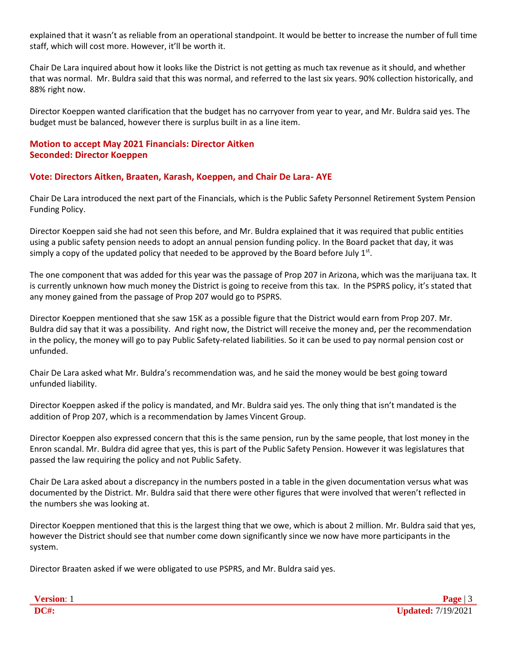explained that it wasn't as reliable from an operational standpoint. It would be better to increase the number of full time staff, which will cost more. However, it'll be worth it.

Chair De Lara inquired about how it looks like the District is not getting as much tax revenue as it should, and whether that was normal. Mr. Buldra said that this was normal, and referred to the last six years. 90% collection historically, and 88% right now.

Director Koeppen wanted clarification that the budget has no carryover from year to year, and Mr. Buldra said yes. The budget must be balanced, however there is surplus built in as a line item.

### **Motion to accept May 2021 Financials: Director Aitken Seconded: Director Koeppen**

### **Vote: Directors Aitken, Braaten, Karash, Koeppen, and Chair De Lara- AYE**

Chair De Lara introduced the next part of the Financials, which is the Public Safety Personnel Retirement System Pension Funding Policy.

Director Koeppen said she had not seen this before, and Mr. Buldra explained that it was required that public entities using a public safety pension needs to adopt an annual pension funding policy. In the Board packet that day, it was simply a copy of the updated policy that needed to be approved by the Board before July  $1<sup>st</sup>$ .

The one component that was added for this year was the passage of Prop 207 in Arizona, which was the marijuana tax. It is currently unknown how much money the District is going to receive from this tax. In the PSPRS policy, it's stated that any money gained from the passage of Prop 207 would go to PSPRS.

Director Koeppen mentioned that she saw 15K as a possible figure that the District would earn from Prop 207. Mr. Buldra did say that it was a possibility. And right now, the District will receive the money and, per the recommendation in the policy, the money will go to pay Public Safety-related liabilities. So it can be used to pay normal pension cost or unfunded.

Chair De Lara asked what Mr. Buldra's recommendation was, and he said the money would be best going toward unfunded liability.

Director Koeppen asked if the policy is mandated, and Mr. Buldra said yes. The only thing that isn't mandated is the addition of Prop 207, which is a recommendation by James Vincent Group.

Director Koeppen also expressed concern that this is the same pension, run by the same people, that lost money in the Enron scandal. Mr. Buldra did agree that yes, this is part of the Public Safety Pension. However it was legislatures that passed the law requiring the policy and not Public Safety.

Chair De Lara asked about a discrepancy in the numbers posted in a table in the given documentation versus what was documented by the District. Mr. Buldra said that there were other figures that were involved that weren't reflected in the numbers she was looking at.

Director Koeppen mentioned that this is the largest thing that we owe, which is about 2 million. Mr. Buldra said that yes, however the District should see that number come down significantly since we now have more participants in the system.

Director Braaten asked if we were obligated to use PSPRS, and Mr. Buldra said yes.

| $\mathbf{V}$ and an |                      |
|---------------------|----------------------|
| DC#:                | 7/19/2021<br>Indated |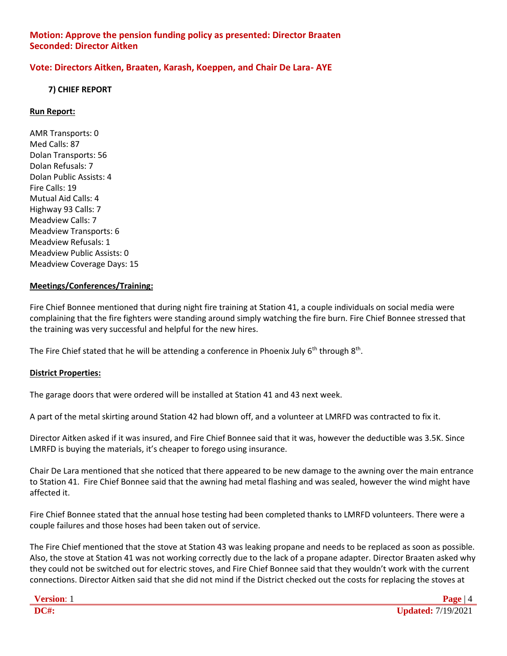# **Motion: Approve the pension funding policy as presented: Director Braaten Seconded: Director Aitken**

# **Vote: Directors Aitken, Braaten, Karash, Koeppen, and Chair De Lara- AYE**

### **7) CHIEF REPORT**

### **Run Report:**

AMR Transports: 0 Med Calls: 87 Dolan Transports: 56 Dolan Refusals: 7 Dolan Public Assists: 4 Fire Calls: 19 Mutual Aid Calls: 4 Highway 93 Calls: 7 Meadview Calls: 7 Meadview Transports: 6 Meadview Refusals: 1 Meadview Public Assists: 0 Meadview Coverage Days: 15

### **Meetings/Conferences/Training:**

Fire Chief Bonnee mentioned that during night fire training at Station 41, a couple individuals on social media were complaining that the fire fighters were standing around simply watching the fire burn. Fire Chief Bonnee stressed that the training was very successful and helpful for the new hires.

The Fire Chief stated that he will be attending a conference in Phoenix July  $6^{th}$  through  $8^{th}$ .

#### **District Properties:**

The garage doors that were ordered will be installed at Station 41 and 43 next week.

A part of the metal skirting around Station 42 had blown off, and a volunteer at LMRFD was contracted to fix it.

Director Aitken asked if it was insured, and Fire Chief Bonnee said that it was, however the deductible was 3.5K. Since LMRFD is buying the materials, it's cheaper to forego using insurance.

Chair De Lara mentioned that she noticed that there appeared to be new damage to the awning over the main entrance to Station 41. Fire Chief Bonnee said that the awning had metal flashing and was sealed, however the wind might have affected it.

Fire Chief Bonnee stated that the annual hose testing had been completed thanks to LMRFD volunteers. There were a couple failures and those hoses had been taken out of service.

The Fire Chief mentioned that the stove at Station 43 was leaking propane and needs to be replaced as soon as possible. Also, the stove at Station 41 was not working correctly due to the lack of a propane adapter. Director Braaten asked why they could not be switched out for electric stoves, and Fire Chief Bonnee said that they wouldn't work with the current connections. Director Aitken said that she did not mind if the District checked out the costs for replacing the stoves at

| ersion: |  |
|---------|--|
| ı       |  |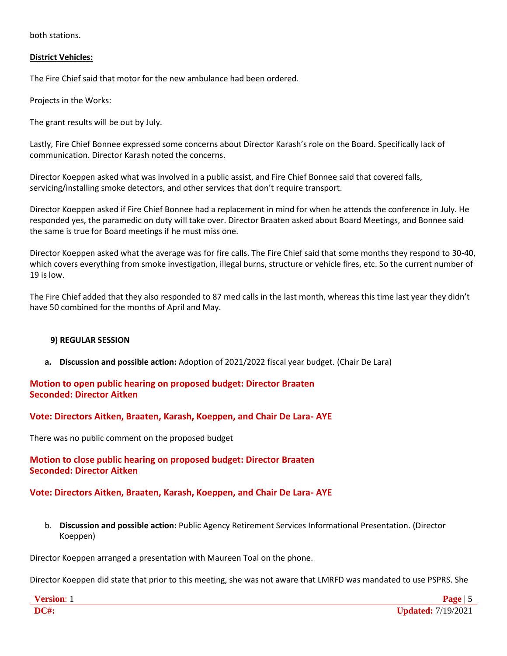both stations.

### **District Vehicles:**

The Fire Chief said that motor for the new ambulance had been ordered.

Projects in the Works:

The grant results will be out by July.

Lastly, Fire Chief Bonnee expressed some concerns about Director Karash's role on the Board. Specifically lack of communication. Director Karash noted the concerns.

Director Koeppen asked what was involved in a public assist, and Fire Chief Bonnee said that covered falls, servicing/installing smoke detectors, and other services that don't require transport.

Director Koeppen asked if Fire Chief Bonnee had a replacement in mind for when he attends the conference in July. He responded yes, the paramedic on duty will take over. Director Braaten asked about Board Meetings, and Bonnee said the same is true for Board meetings if he must miss one.

Director Koeppen asked what the average was for fire calls. The Fire Chief said that some months they respond to 30-40, which covers everything from smoke investigation, illegal burns, structure or vehicle fires, etc. So the current number of 19 is low.

The Fire Chief added that they also responded to 87 med calls in the last month, whereas this time last year they didn't have 50 combined for the months of April and May.

#### **9) REGULAR SESSION**

**a. Discussion and possible action:** Adoption of 2021/2022 fiscal year budget. (Chair De Lara)

# **Motion to open public hearing on proposed budget: Director Braaten Seconded: Director Aitken**

**Vote: Directors Aitken, Braaten, Karash, Koeppen, and Chair De Lara- AYE**

There was no public comment on the proposed budget

# **Motion to close public hearing on proposed budget: Director Braaten Seconded: Director Aitken**

# **Vote: Directors Aitken, Braaten, Karash, Koeppen, and Chair De Lara- AYE**

b. **Discussion and possible action:** Public Agency Retirement Services Informational Presentation. (Director Koeppen)

Director Koeppen arranged a presentation with Maureen Toal on the phone.

Director Koeppen did state that prior to this meeting, she was not aware that LMRFD was mandated to use PSPRS. She

| ∼ |  |
|---|--|
|   |  |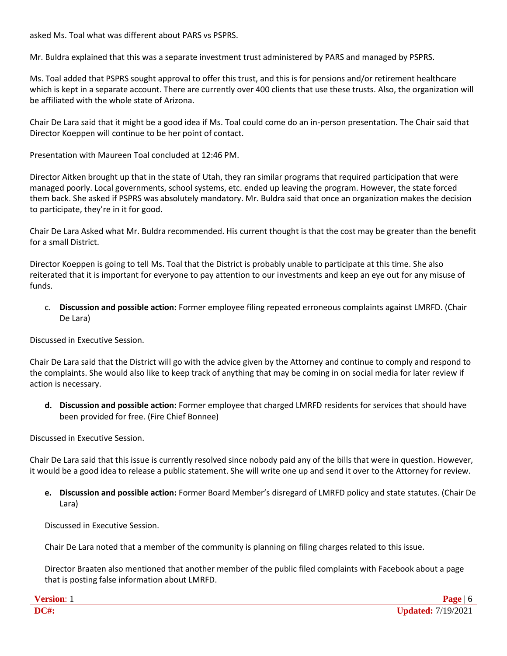asked Ms. Toal what was different about PARS vs PSPRS.

Mr. Buldra explained that this was a separate investment trust administered by PARS and managed by PSPRS.

Ms. Toal added that PSPRS sought approval to offer this trust, and this is for pensions and/or retirement healthcare which is kept in a separate account. There are currently over 400 clients that use these trusts. Also, the organization will be affiliated with the whole state of Arizona.

Chair De Lara said that it might be a good idea if Ms. Toal could come do an in-person presentation. The Chair said that Director Koeppen will continue to be her point of contact.

Presentation with Maureen Toal concluded at 12:46 PM.

Director Aitken brought up that in the state of Utah, they ran similar programs that required participation that were managed poorly. Local governments, school systems, etc. ended up leaving the program. However, the state forced them back. She asked if PSPRS was absolutely mandatory. Mr. Buldra said that once an organization makes the decision to participate, they're in it for good.

Chair De Lara Asked what Mr. Buldra recommended. His current thought is that the cost may be greater than the benefit for a small District.

Director Koeppen is going to tell Ms. Toal that the District is probably unable to participate at this time. She also reiterated that it is important for everyone to pay attention to our investments and keep an eye out for any misuse of funds.

c. **Discussion and possible action:** Former employee filing repeated erroneous complaints against LMRFD. (Chair De Lara)

Discussed in Executive Session.

Chair De Lara said that the District will go with the advice given by the Attorney and continue to comply and respond to the complaints. She would also like to keep track of anything that may be coming in on social media for later review if action is necessary.

**d. Discussion and possible action:** Former employee that charged LMRFD residents for services that should have been provided for free. (Fire Chief Bonnee)

Discussed in Executive Session.

Chair De Lara said that this issue is currently resolved since nobody paid any of the bills that were in question. However, it would be a good idea to release a public statement. She will write one up and send it over to the Attorney for review.

**e. Discussion and possible action:** Former Board Member's disregard of LMRFD policy and state statutes. (Chair De Lara)

Discussed in Executive Session.

Chair De Lara noted that a member of the community is planning on filing charges related to this issue.

Director Braaten also mentioned that another member of the public filed complaints with Facebook about a page that is posting false information about LMRFD.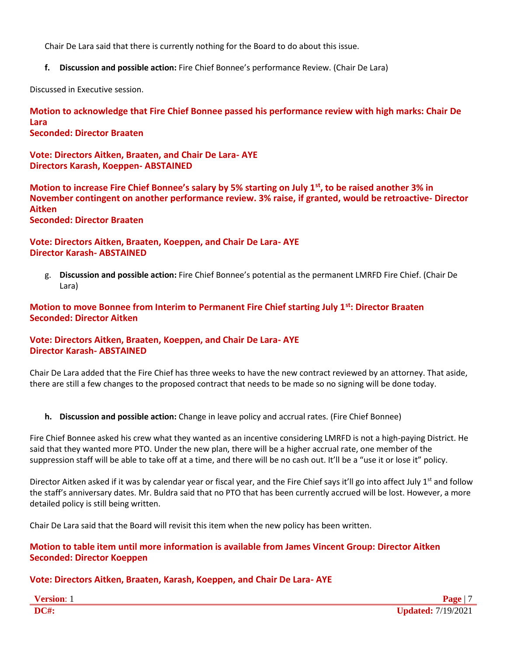Chair De Lara said that there is currently nothing for the Board to do about this issue.

**f. Discussion and possible action:** Fire Chief Bonnee's performance Review. (Chair De Lara)

Discussed in Executive session.

**Motion to acknowledge that Fire Chief Bonnee passed his performance review with high marks: Chair De Lara Seconded: Director Braaten**

**Vote: Directors Aitken, Braaten, and Chair De Lara- AYE Directors Karash, Koeppen- ABSTAINED**

**Motion to increase Fire Chief Bonnee's salary by 5% starting on July 1st, to be raised another 3% in November contingent on another performance review. 3% raise, if granted, would be retroactive- Director Aitken**

**Seconded: Director Braaten**

# **Vote: Directors Aitken, Braaten, Koeppen, and Chair De Lara- AYE Director Karash- ABSTAINED**

g. **Discussion and possible action:** Fire Chief Bonnee's potential as the permanent LMRFD Fire Chief. (Chair De Lara)

# **Motion to move Bonnee from Interim to Permanent Fire Chief starting July 1st: Director Braaten Seconded: Director Aitken**

# **Vote: Directors Aitken, Braaten, Koeppen, and Chair De Lara- AYE Director Karash- ABSTAINED**

Chair De Lara added that the Fire Chief has three weeks to have the new contract reviewed by an attorney. That aside, there are still a few changes to the proposed contract that needs to be made so no signing will be done today.

**h. Discussion and possible action:** Change in leave policy and accrual rates. (Fire Chief Bonnee)

Fire Chief Bonnee asked his crew what they wanted as an incentive considering LMRFD is not a high-paying District. He said that they wanted more PTO. Under the new plan, there will be a higher accrual rate, one member of the suppression staff will be able to take off at a time, and there will be no cash out. It'll be a "use it or lose it" policy.

Director Aitken asked if it was by calendar year or fiscal year, and the Fire Chief says it'll go into affect July  $1<sup>st</sup>$  and follow the staff's anniversary dates. Mr. Buldra said that no PTO that has been currently accrued will be lost. However, a more detailed policy is still being written.

Chair De Lara said that the Board will revisit this item when the new policy has been written.

# **Motion to table item until more information is available from James Vincent Group: Director Aitken Seconded: Director Koeppen**

# **Vote: Directors Aitken, Braaten, Karash, Koeppen, and Chair De Lara- AYE**